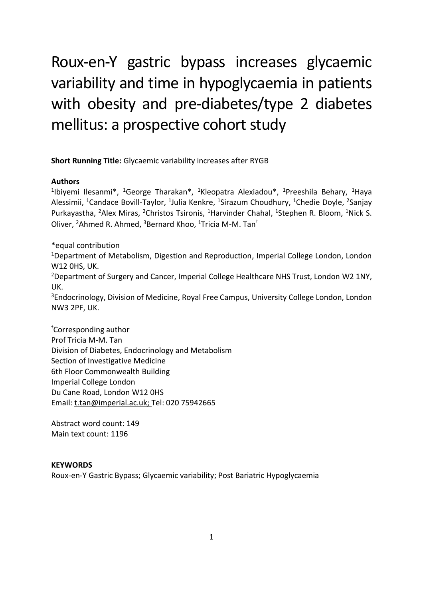# Roux-en-Y gastric bypass increases glycaemic variability and time in hypoglycaemia in patients with obesity and pre-diabetes/type 2 diabetes mellitus: a prospective cohort study

**Short Running Title:** Glycaemic variability increases after RYGB

#### **Authors**

<sup>1</sup>lbiyemi Ilesanmi\*, <sup>1</sup>George Tharakan\*, <sup>1</sup>Kleopatra Alexiadou\*, <sup>1</sup>Preeshila Behary, <sup>1</sup>Haya Alessimii, <sup>1</sup>Candace Bovill-Taylor, <sup>1</sup>Julia Kenkre, <sup>1</sup>Sirazum Choudhury, <sup>1</sup>Chedie Doyle, <sup>2</sup>Sanjay Purkayastha, <sup>2</sup>Alex Miras, <sup>2</sup>Christos Tsironis, <sup>1</sup>Harvinder Chahal, <sup>1</sup>Stephen R. Bloom, <sup>1</sup>Nick S. Oliver, <sup>2</sup>Ahmed R. Ahmed, <sup>3</sup>Bernard Khoo, <sup>1</sup>Tricia M-M. Tan<sup>†</sup>

\*equal contribution

<sup>1</sup>Department of Metabolism, Digestion and Reproduction, Imperial College London, London W12 0HS, UK.

<sup>2</sup>Department of Surgery and Cancer, Imperial College Healthcare NHS Trust, London W2 1NY, UK.

<sup>3</sup>Endocrinology, Division of Medicine, Royal Free Campus, University College London, London NW3 2PF, UK.

†Corresponding author Prof Tricia M-M. Tan Division of Diabetes, Endocrinology and Metabolism Section of Investigative Medicine 6th Floor Commonwealth Building Imperial College London Du Cane Road, London W12 0HS Email: t.tan@imperial.ac.uk; Tel: 020 75942665

Abstract word count: 149 Main text count: 1196

#### **KEYWORDS**

Roux-en-Y Gastric Bypass; Glycaemic variability; Post Bariatric Hypoglycaemia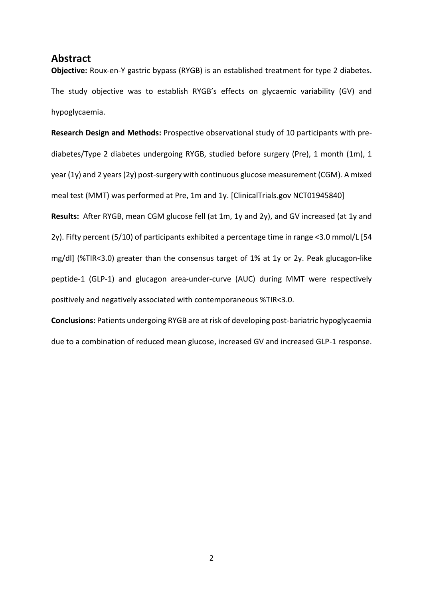## **Abstract**

**Objective:** Roux-en-Y gastric bypass (RYGB) is an established treatment for type 2 diabetes. The study objective was to establish RYGB's effects on glycaemic variability (GV) and hypoglycaemia.

**Research Design and Methods:** Prospective observational study of 10 participants with prediabetes/Type 2 diabetes undergoing RYGB, studied before surgery (Pre), 1 month (1m), 1 year (1y) and 2 years (2y) post-surgery with continuous glucose measurement (CGM). A mixed meal test (MMT) was performed at Pre, 1m and 1y. [ClinicalTrials.gov NCT01945840] **Results:** After RYGB, mean CGM glucose fell (at 1m, 1y and 2y), and GV increased (at 1y and 2y). Fifty percent (5/10) of participants exhibited a percentage time in range <3.0 mmol/L [54 mg/dl] (%TIR<3.0) greater than the consensus target of 1% at 1y or 2y. Peak glucagon-like peptide-1 (GLP-1) and glucagon area-under-curve (AUC) during MMT were respectively positively and negatively associated with contemporaneous %TIR<3.0.

**Conclusions:** Patients undergoing RYGB are at risk of developing post-bariatric hypoglycaemia due to a combination of reduced mean glucose, increased GV and increased GLP-1 response.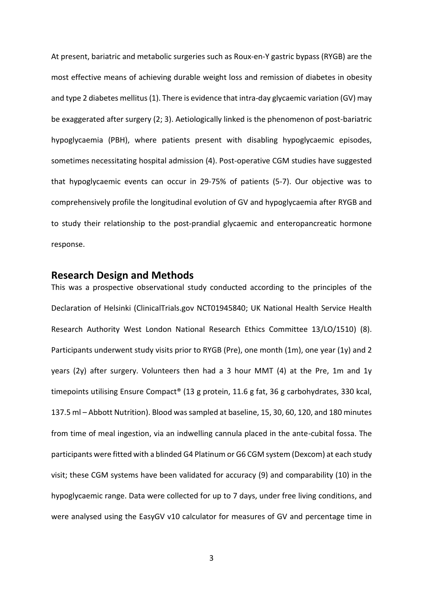At present, bariatric and metabolic surgeries such as Roux-en-Y gastric bypass (RYGB) are the most effective means of achieving durable weight loss and remission of diabetes in obesity and type 2 diabetes mellitus (1). There is evidence that intra-day glycaemic variation (GV) may be exaggerated after surgery (2; 3). Aetiologically linked is the phenomenon of post-bariatric hypoglycaemia (PBH), where patients present with disabling hypoglycaemic episodes, sometimes necessitating hospital admission (4). Post-operative CGM studies have suggested that hypoglycaemic events can occur in 29-75% of patients (5-7). Our objective was to comprehensively profile the longitudinal evolution of GV and hypoglycaemia after RYGB and to study their relationship to the post-prandial glycaemic and enteropancreatic hormone response.

#### **Research Design and Methods**

This was a prospective observational study conducted according to the principles of the Declaration of Helsinki (ClinicalTrials.gov NCT01945840; UK National Health Service Health Research Authority West London National Research Ethics Committee 13/LO/1510) (8). Participants underwent study visits prior to RYGB (Pre), one month (1m), one year (1y) and 2 years (2y) after surgery. Volunteers then had a 3 hour MMT (4) at the Pre, 1m and 1y timepoints utilising Ensure Compact® (13 g protein, 11.6 g fat, 36 g carbohydrates, 330 kcal, 137.5 ml – Abbott Nutrition). Blood wassampled at baseline, 15, 30, 60, 120, and 180 minutes from time of meal ingestion, via an indwelling cannula placed in the ante-cubital fossa. The participants were fitted with a blinded G4 Platinum or G6 CGM system (Dexcom) at each study visit; these CGM systems have been validated for accuracy (9) and comparability (10) in the hypoglycaemic range. Data were collected for up to 7 days, under free living conditions, and were analysed using the EasyGV v10 calculator for measures of GV and percentage time in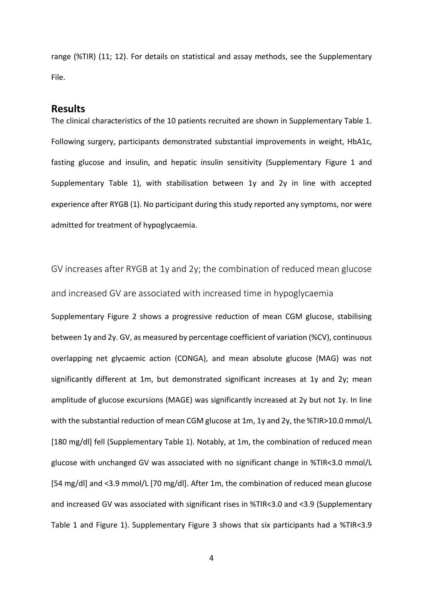range (%TIR) (11; 12). For details on statistical and assay methods, see the Supplementary File.

#### **Results**

The clinical characteristics of the 10 patients recruited are shown in Supplementary Table 1. Following surgery, participants demonstrated substantial improvements in weight, HbA1c, fasting glucose and insulin, and hepatic insulin sensitivity (Supplementary Figure 1 and Supplementary Table 1), with stabilisation between 1y and 2y in line with accepted experience after RYGB (1). No participant during this study reported any symptoms, nor were admitted for treatment of hypoglycaemia.

GV increases after RYGB at 1y and 2y; the combination of reduced mean glucose and increased GV are associated with increased time in hypoglycaemia Supplementary Figure 2 shows a progressive reduction of mean CGM glucose, stabilising between 1y and 2y. GV, as measured by percentage coefficient of variation (%CV), continuous overlapping net glycaemic action (CONGA), and mean absolute glucose (MAG) was not significantly different at 1m, but demonstrated significant increases at 1y and 2y; mean amplitude of glucose excursions (MAGE) was significantly increased at 2y but not 1y. In line with the substantial reduction of mean CGM glucose at 1m, 1y and 2y, the %TIR>10.0 mmol/L [180 mg/dl] fell (Supplementary Table 1). Notably, at 1m, the combination of reduced mean glucose with unchanged GV was associated with no significant change in %TIR<3.0 mmol/L [54 mg/dl] and <3.9 mmol/L [70 mg/dl]. After 1m, the combination of reduced mean glucose and increased GV was associated with significant rises in %TIR<3.0 and <3.9 (Supplementary Table 1 and Figure 1). Supplementary Figure 3 shows that six participants had a %TIR<3.9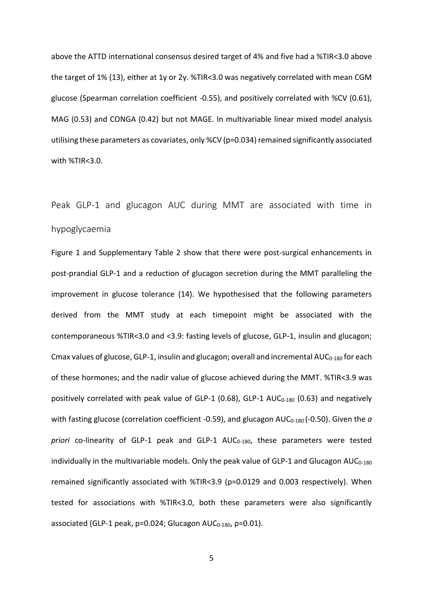above the ATTD international consensus desired target of 4% and five had a %TIR<3.0 above the target of 1% (13), either at 1y or 2y. %TIR<3.0 was negatively correlated with mean CGM glucose (Spearman correlation coefficient -0.55), and positively correlated with %CV (0.61), MAG (0.53) and CONGA (0.42) but not MAGE. In multivariable linear mixed model analysis utilising these parameters as covariates, only %CV (p=0.034) remained significantly associated with %TIR<3.0.

Peak GLP-1 and glucagon AUC during MMT are associated with time in hypoglycaemia

Figure 1 and Supplementary Table 2 show that there were post-surgical enhancements in post-prandial GLP-1 and a reduction of glucagon secretion during the MMT paralleling the improvement in glucose tolerance (14). We hypothesised that the following parameters derived from the MMT study at each timepoint might be associated with the contemporaneous %TIR<3.0 and <3.9: fasting levels of glucose, GLP-1, insulin and glucagon; Cmax values of glucose, GLP-1, insulin and glucagon; overall and incremental  $AUC_{0-180}$  for each of these hormones; and the nadir value of glucose achieved during the MMT. %TIR<3.9 was positively correlated with peak value of GLP-1 (0.68), GLP-1  $AUC_{0-180}$  (0.63) and negatively with fasting glucose (correlation coefficient -0.59), and glucagon AUC<sub>0-180</sub> (-0.50). Given the *a priori* co-linearity of GLP-1 peak and GLP-1 AUC0-180, these parameters were tested individually in the multivariable models. Only the peak value of GLP-1 and Glucagon  $AUC_{0-180}$ remained significantly associated with %TIR<3.9 (p=0.0129 and 0.003 respectively). When tested for associations with %TIR<3.0, both these parameters were also significantly associated (GLP-1 peak, p=0.024; Glucagon AUC<sub>0-180</sub>, p=0.01).

5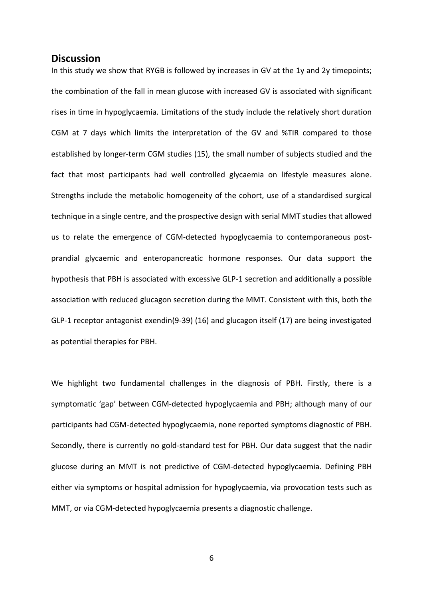#### **Discussion**

In this study we show that RYGB is followed by increases in GV at the 1y and 2y timepoints; the combination of the fall in mean glucose with increased GV is associated with significant rises in time in hypoglycaemia. Limitations of the study include the relatively short duration CGM at 7 days which limits the interpretation of the GV and %TIR compared to those established by longer-term CGM studies (15), the small number of subjects studied and the fact that most participants had well controlled glycaemia on lifestyle measures alone. Strengths include the metabolic homogeneity of the cohort, use of a standardised surgical technique in a single centre, and the prospective design with serial MMT studies that allowed us to relate the emergence of CGM-detected hypoglycaemia to contemporaneous postprandial glycaemic and enteropancreatic hormone responses. Our data support the hypothesis that PBH is associated with excessive GLP-1 secretion and additionally a possible association with reduced glucagon secretion during the MMT. Consistent with this, both the GLP-1 receptor antagonist exendin(9-39) (16) and glucagon itself (17) are being investigated as potential therapies for PBH.

We highlight two fundamental challenges in the diagnosis of PBH. Firstly, there is a symptomatic 'gap' between CGM-detected hypoglycaemia and PBH; although many of our participants had CGM-detected hypoglycaemia, none reported symptoms diagnostic of PBH. Secondly, there is currently no gold-standard test for PBH. Our data suggest that the nadir glucose during an MMT is not predictive of CGM-detected hypoglycaemia. Defining PBH either via symptoms or hospital admission for hypoglycaemia, via provocation tests such as MMT, or via CGM-detected hypoglycaemia presents a diagnostic challenge.

6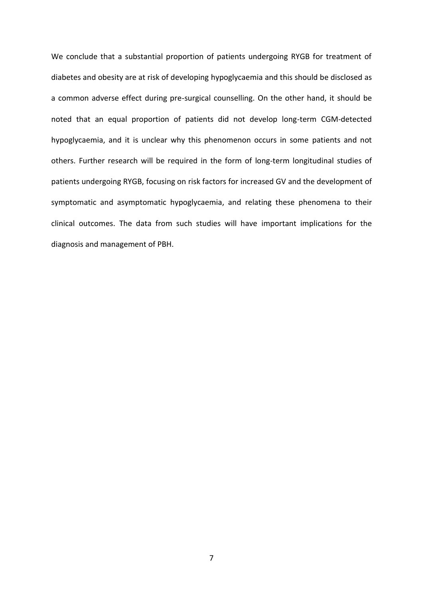We conclude that a substantial proportion of patients undergoing RYGB for treatment of diabetes and obesity are at risk of developing hypoglycaemia and this should be disclosed as a common adverse effect during pre-surgical counselling. On the other hand, it should be noted that an equal proportion of patients did not develop long-term CGM-detected hypoglycaemia, and it is unclear why this phenomenon occurs in some patients and not others. Further research will be required in the form of long-term longitudinal studies of patients undergoing RYGB, focusing on risk factors for increased GV and the development of symptomatic and asymptomatic hypoglycaemia, and relating these phenomena to their clinical outcomes. The data from such studies will have important implications for the diagnosis and management of PBH.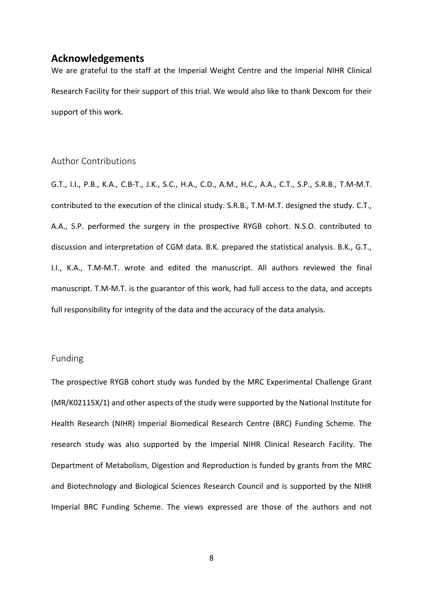### **Acknowledgements**

We are grateful to the staff at the Imperial Weight Centre and the Imperial NIHR Clinical Research Facility for their support of this trial. We would also like to thank Dexcom for their support of this work.

## Author Contributions

G.T., I.I., P.B., K.A., C.B-T., J.K., S.C., H.A., C.D., A.M., H.C., A.A., C.T., S.P., S.R.B., T.M-M.T. contributed to the execution of the clinical study. S.R.B., T.M-M.T. designed the study. C.T., A.A., S.P. performed the surgery in the prospective RYGB cohort. N.S.O. contributed to discussion and interpretation of CGM data. B.K. prepared the statistical analysis. B.K., G.T., I.I., K.A., T.M-M.T. wrote and edited the manuscript. All authors reviewed the final manuscript. T.M-M.T. is the guarantor of this work, had full access to the data, and accepts full responsibility for integrity of the data and the accuracy of the data analysis.

#### Funding

The prospective RYGB cohort study was funded by the MRC Experimental Challenge Grant (MR/K02115X/1) and other aspects of the study were supported by the National Institute for Health Research (NIHR) Imperial Biomedical Research Centre (BRC) Funding Scheme. The research study was also supported by the Imperial NIHR Clinical Research Facility. The Department of Metabolism, Digestion and Reproduction is funded by grants from the MRC and Biotechnology and Biological Sciences Research Council and is supported by the NIHR Imperial BRC Funding Scheme. The views expressed are those of the authors and not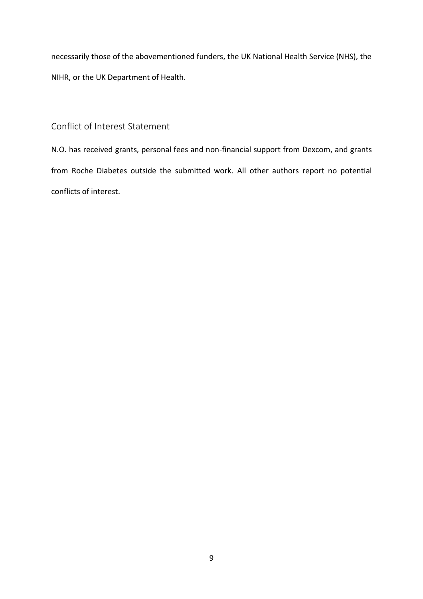necessarily those of the abovementioned funders, the UK National Health Service (NHS), the NIHR, or the UK Department of Health.

Conflict of Interest Statement

N.O. has received grants, personal fees and non-financial support from Dexcom, and grants from Roche Diabetes outside the submitted work. All other authors report no potential conflicts of interest.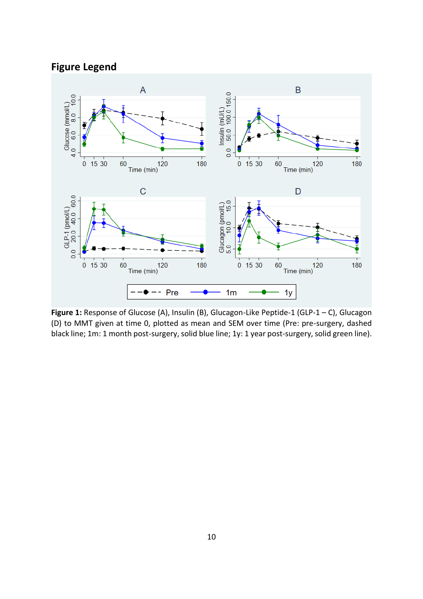# **Figure Legend**



**Figure 1:** Response of Glucose (A), Insulin (B), Glucagon-Like Peptide-1 (GLP-1 – C), Glucagon (D) to MMT given at time 0, plotted as mean and SEM over time (Pre: pre-surgery, dashed black line; 1m: 1 month post-surgery, solid blue line; 1y: 1 year post-surgery, solid green line).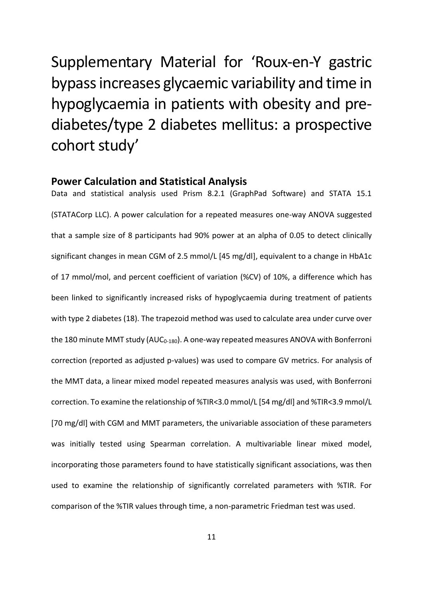# Supplementary Material for 'Roux-en-Y gastric bypass increases glycaemic variability and time in hypoglycaemia in patients with obesity and prediabetes/type 2 diabetes mellitus: a prospective cohort study'

### **Power Calculation and Statistical Analysis**

Data and statistical analysis used Prism 8.2.1 (GraphPad Software) and STATA 15.1 (STATACorp LLC). A power calculation for a repeated measures one-way ANOVA suggested that a sample size of 8 participants had 90% power at an alpha of 0.05 to detect clinically significant changes in mean CGM of 2.5 mmol/L [45 mg/dl], equivalent to a change in HbA1c of 17 mmol/mol, and percent coefficient of variation (%CV) of 10%, a difference which has been linked to significantly increased risks of hypoglycaemia during treatment of patients with type 2 diabetes (18). The trapezoid method was used to calculate area under curve over the 180 minute MMT study (AUC<sub>0-180</sub>). A one-way repeated measures ANOVA with Bonferroni correction (reported as adjusted p-values) was used to compare GV metrics. For analysis of the MMT data, a linear mixed model repeated measures analysis was used, with Bonferroni correction. To examine the relationship of %TIR<3.0 mmol/L [54 mg/dl] and %TIR<3.9 mmol/L [70 mg/dl] with CGM and MMT parameters, the univariable association of these parameters was initially tested using Spearman correlation. A multivariable linear mixed model, incorporating those parameters found to have statistically significant associations, was then used to examine the relationship of significantly correlated parameters with %TIR. For comparison of the %TIR values through time, a non-parametric Friedman test was used.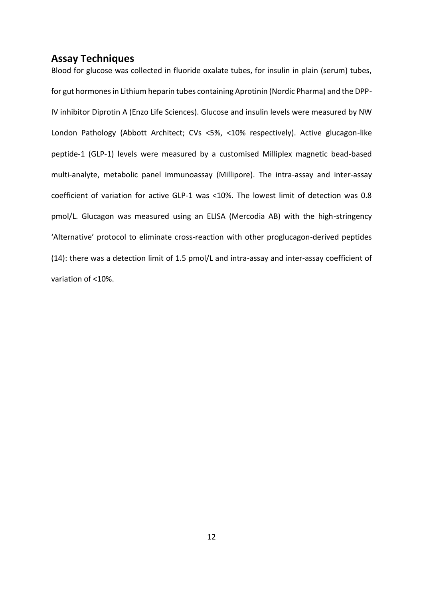## **Assay Techniques**

Blood for glucose was collected in fluoride oxalate tubes, for insulin in plain (serum) tubes, for gut hormones in Lithium heparin tubes containing Aprotinin (Nordic Pharma) and the DPP-IV inhibitor Diprotin A (Enzo Life Sciences). Glucose and insulin levels were measured by NW London Pathology (Abbott Architect; CVs <5%, <10% respectively). Active glucagon-like peptide-1 (GLP-1) levels were measured by a customised Milliplex magnetic bead-based multi-analyte, metabolic panel immunoassay (Millipore). The intra-assay and inter-assay coefficient of variation for active GLP-1 was <10%. The lowest limit of detection was 0.8 pmol/L. Glucagon was measured using an ELISA (Mercodia AB) with the high-stringency 'Alternative' protocol to eliminate cross-reaction with other proglucagon-derived peptides (14): there was a detection limit of 1.5 pmol/L and intra-assay and inter-assay coefficient of variation of <10%.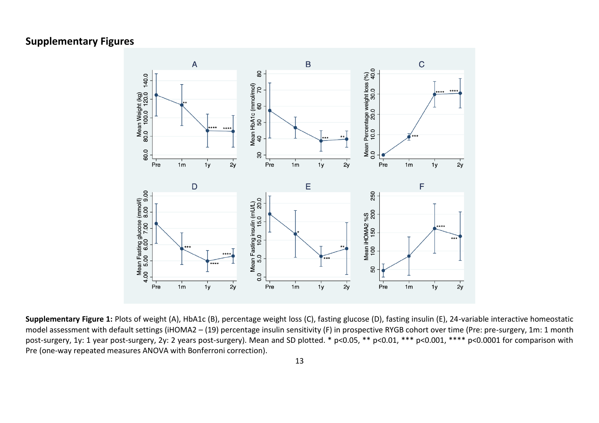# **Supplementary Figures**



**Supplementary Figure 1:** Plots of weight (A), HbA1c (B), percentage weight loss (C), fasting glucose (D), fasting insulin (E), 24-variable interactive homeostatic model assessment with default settings (iHOMA2 – (19) percentage insulin sensitivity (F) in prospective RYGB cohort over time (Pre: pre-surgery, 1m: 1 month post-surgery, 1y: 1 year post-surgery, 2y: 2 years post-surgery). Mean and SD plotted. \* p<0.05, \*\* p<0.01, \*\*\* p<0.001, \*\*\*\* p<0.0001 for comparison with Pre (one-way repeated measures ANOVA with Bonferroni correction).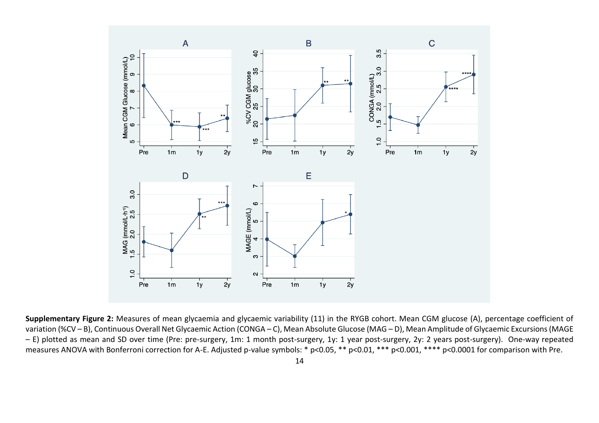

**Supplementary Figure 2:** Measures of mean glycaemia and glycaemic variability (11) in the RYGB cohort. Mean CGM glucose (A), percentage coefficient of variation (%CV – B), Continuous Overall Net Glycaemic Action (CONGA – C), Mean Absolute Glucose (MAG – D), Mean Amplitude of Glycaemic Excursions (MAGE – E) plotted as mean and SD over time (Pre: pre-surgery, 1m: 1 month post-surgery, 1y: 1 year post-surgery, 2y: 2 years post-surgery). One-way repeated measures ANOVA with Bonferroni correction for A-E. Adjusted p-value symbols: \* p<0.05, \*\* p<0.01, \*\*\* p<0.001, \*\*\*\* p<0.0001 for comparison with Pre.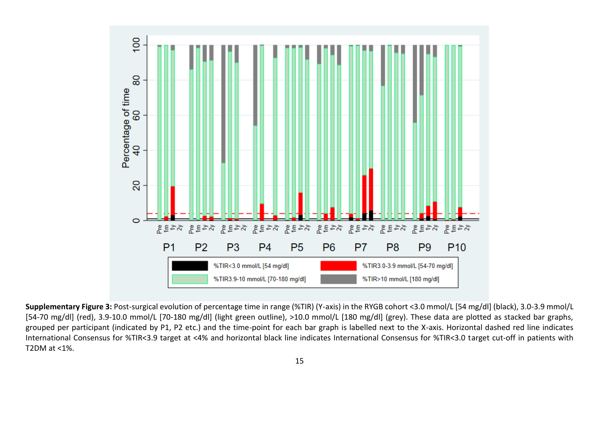

**Supplementary Figure 3:** Post-surgical evolution of percentage time in range (%TIR) (Y-axis) in the RYGB cohort <3.0 mmol/L [54 mg/dl] (black), 3.0-3.9 mmol/L [54-70 mg/dl] (red), 3.9-10.0 mmol/L [70-180 mg/dl] (light green outline), >10.0 mmol/L [180 mg/dl] (grey). These data are plotted as stacked bar graphs, grouped per participant (indicated by P1, P2 etc.) and the time-point for each bar graph is labelled next to the X-axis. Horizontal dashed red line indicates International Consensus for %TIR<3.9 target at <4% and horizontal black line indicates International Consensus for %TIR<3.0 target cut-off in patients with T2DM at <1%.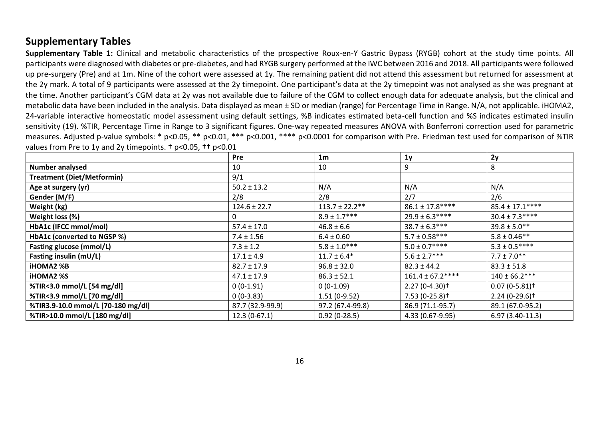# **Supplementary Tables**

**Supplementary Table 1:** Clinical and metabolic characteristics of the prospective Roux-en-Y Gastric Bypass (RYGB) cohort at the study time points. All participants were diagnosed with diabetes or pre-diabetes, and had RYGB surgery performed at the IWC between 2016 and 2018. All participants were followed up pre-surgery (Pre) and at 1m. Nine of the cohort were assessed at 1y. The remaining patient did not attend this assessment but returned for assessment at the 2y mark. A total of 9 participants were assessed at the 2y timepoint. One participant's data at the 2y timepoint was not analysed as she was pregnant at the time. Another participant's CGM data at 2y was not available due to failure of the CGM to collect enough data for adequate analysis, but the clinical and metabolic data have been included in the analysis. Data displayed as mean ± SD or median (range) for Percentage Time in Range. N/A, not applicable. iHOMA2, 24-variable interactive homeostatic model assessment using default settings, %B indicates estimated beta-cell function and %S indicates estimated insulin sensitivity (19). %TIR, Percentage Time in Range to 3 significant figures. One-way repeated measures ANOVA with Bonferroni correction used for parametric measures. Adjusted p-value symbols: \* p<0.05, \*\* p<0.01, \*\*\* p<0.001, \*\*\*\* p<0.0001 for comparison with Pre. Friedman test used for comparison of %TIR values from Pre to 1y and 2y timepoints. † p<0.05, †† p<0.01

|                                    | <b>Pre</b>       | 1 <sub>m</sub>      | 1 <sub>y</sub>              | 2y                          |
|------------------------------------|------------------|---------------------|-----------------------------|-----------------------------|
| <b>Number analysed</b>             | 10               | 10                  | 9                           | 8                           |
| <b>Treatment (Diet/Metformin)</b>  | 9/1              |                     |                             |                             |
| Age at surgery (yr)                | $50.2 \pm 13.2$  | N/A                 | N/A                         | N/A                         |
| Gender (M/F)                       | 2/8              | 2/8                 | 2/7                         | 2/6                         |
| Weight (kg)                        | $124.6 \pm 22.7$ | $113.7 \pm 22.2$ ** | $86.1 \pm 17.8***$          | $85.4 \pm 17.1***$          |
| Weight loss (%)                    | 0                | $8.9 \pm 1.7***$    | $29.9 \pm 6.3***$           | $30.4 \pm 7.3***$           |
| HbA1c (IFCC mmol/mol)              | $57.4 \pm 17.0$  | $46.8 \pm 6.6$      | $38.7 \pm 6.3***$           | $39.8 \pm 5.0**$            |
| HbA1c (converted to NGSP %)        | $7.4 \pm 1.56$   | $6.4 \pm 0.60$      | $5.7 \pm 0.58***$           | $5.8 \pm 0.46$ **           |
| Fasting glucose (mmol/L)           | $7.3 \pm 1.2$    | $5.8 \pm 1.0***$    | $5.0 \pm 0.7***$            | $5.3 \pm 0.5***$            |
| Fasting insulin (mU/L)             | $17.1 \pm 4.9$   | $11.7 \pm 6.4*$     | $5.6 \pm 2.7***$            | $7.7 \pm 7.0**$             |
| <b>iHOMA2 %B</b>                   | $82.7 \pm 17.9$  | $96.8 \pm 32.0$     | $82.3 \pm 44.2$             | $83.3 \pm 51.8$             |
| <b>iHOMA2 %S</b>                   | $47.1 \pm 17.9$  | $86.3 \pm 52.1$     | $161.4 \pm 67.2***$         | $140 \pm 66.2***$           |
| %TIR<3.0 mmol/L [54 mg/dl]         | $0(0-1.91)$      | $0(0-1.09)$         | $2.27(0-4.30)$ <sup>+</sup> | $0.07(0-5.81)$ <sup>+</sup> |
| %TIR<3.9 mmol/L [70 mg/dl]         | $0(0-3.83)$      | $1.51(0-9.52)$      | $7.53(0-25.8)$ <sup>+</sup> | $2.24(0-29.6)$ <sup>+</sup> |
| %TIR3.9-10.0 mmol/L [70-180 mg/dl] | 87.7 (32.9-99.9) | 97.2 (67.4-99.8)    | 86.9 (71.1-95.7)            | 89.1 (67.0-95.2)            |
| %TIR>10.0 mmol/L [180 mg/dl]       | $12.3(0-67.1)$   | $0.92(0-28.5)$      | 4.33 (0.67-9.95)            | $6.97(3.40-11.3)$           |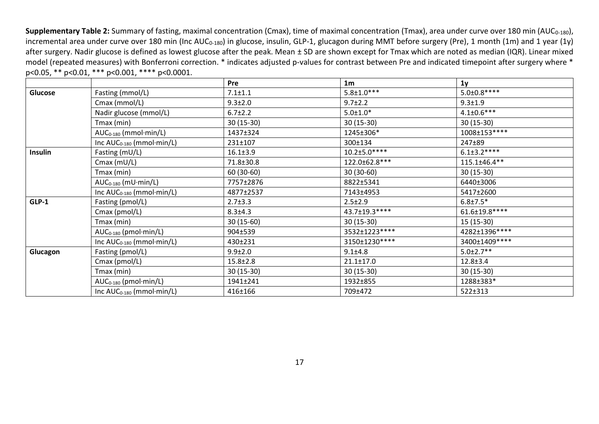**Supplementary Table 2:** Summary of fasting, maximal concentration (Cmax), time of maximal concentration (Tmax), area under curve over 180 min (AUC<sub>0-180</sub>), incremental area under curve over 180 min (Inc AUC<sub>0-180</sub>) in glucose, insulin, GLP-1, glucagon during MMT before surgery (Pre), 1 month (1m) and 1 year (1y) after surgery. Nadir glucose is defined as lowest glucose after the peak. Mean ± SD are shown except for Tmax which are noted as median (IQR). Linear mixed model (repeated measures) with Bonferroni correction. \* indicates adjusted p-values for contrast between Pre and indicated timepoint after surgery where \* p<0.05, \*\* p<0.01, \*\*\* p<0.001, \*\*\*\* p<0.0001.

|          |                                        | Pre            | 1 <sub>m</sub>    | 1 <sub>y</sub>    |
|----------|----------------------------------------|----------------|-------------------|-------------------|
| Glucose  | Fasting (mmol/L)                       | $7.1 \pm 1.1$  | $5.8 \pm 1.0***$  | $5.0 \pm 0.8***$  |
|          | $Cmax$ (mmol/L)                        | $9.3 \pm 2.0$  | $9.7 \pm 2.2$     | $9.3 \pm 1.9$     |
|          | Nadir glucose (mmol/L)                 | $6.7 \pm 2.2$  | $5.0 \pm 1.0*$    | $4.1 \pm 0.6$ *** |
|          | Tmax (min)                             | 30 (15-30)     | $30(15-30)$       | $30(15-30)$       |
|          | $AUC_{0-180}$ (mmol·min/L)             | 1437±324       | 1245±306*         | 1008±153****      |
|          | Inc $AUC_{0-180}$ (mmol $\cdot$ min/L) | 231±107        | 300±134           | 247±89            |
| Insulin  | Fasting $(mU/L)$                       | $16.1 \pm 3.9$ | $10.2 \pm 5.0***$ | $6.1 \pm 3.2***$  |
|          | Cmax $(mU/L)$                          | 71.8±30.8      | 122.0±62.8***     | 115.1±46.4**      |
|          | Tmax (min)                             | 60 (30-60)     | $30(30-60)$       | $30(15-30)$       |
|          | $AUC_{0-180}$ (mU $\cdot$ min/L)       | 7757±2876      | 8822±5341         | 6440±3006         |
|          | Inc $AUC_{0-180}$ (mmol $\cdot$ min/L) | 4877±2537      | 7143±4953         | 5417±2600         |
| $GLP-1$  | Fasting (pmol/L)                       | $2.7 \pm 3.3$  | $2.5 \pm 2.9$     | $6.8 \pm 7.5*$    |
|          | Cmax (pmol/L)                          | $8.3 \pm 4.3$  | 43.7±19.3****     | 61.6±19.8 ****    |
|          | Tmax (min)                             | 30 (15-60)     | 30 (15-30)        | 15 (15-30)        |
|          | $AUC_{0-180}$ (pmol·min/L)             | 904±539        | 3532±1223****     | 4282±1396****     |
|          | Inc $AUC_{0-180}$ (mmol $\cdot$ min/L) | 430±231        | 3150±1230****     | 3400±1409 ****    |
| Glucagon | Fasting (pmol/L)                       | $9.9 \pm 2.0$  | $9.1 + 4.8$       | $5.0 \pm 2.7$ **  |
|          | Cmax (pmol/L)                          | $15.8 \pm 2.8$ | $21.1 \pm 17.0$   | $12.8 \pm 3.4$    |
|          | Tmax (min)                             | $30(15-30)$    | $30(15-30)$       | $30(15-30)$       |
|          | $AUC_{0-180}$ (pmol·min/L)             | 1941±241       | 1932±855          | 1288±383*         |
|          | Inc $AUC_{0-180}$ (mmol·min/L)         | 416±166        | 709±472           | 522±313           |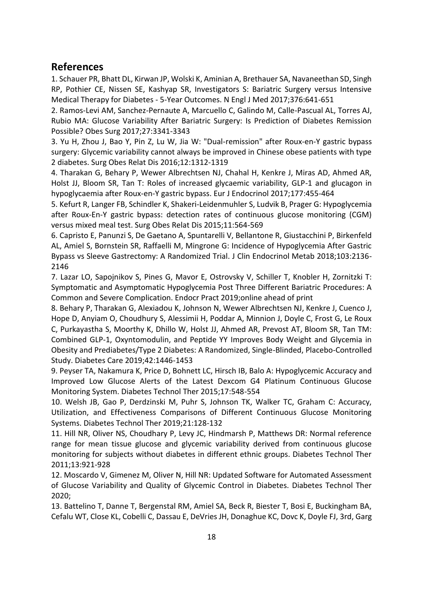## **References**

1. Schauer PR, Bhatt DL, Kirwan JP, Wolski K, Aminian A, Brethauer SA, Navaneethan SD, Singh RP, Pothier CE, Nissen SE, Kashyap SR, Investigators S: Bariatric Surgery versus Intensive Medical Therapy for Diabetes - 5-Year Outcomes. N Engl J Med 2017;376:641-651

2. Ramos-Levi AM, Sanchez-Pernaute A, Marcuello C, Galindo M, Calle-Pascual AL, Torres AJ, Rubio MA: Glucose Variability After Bariatric Surgery: Is Prediction of Diabetes Remission Possible? Obes Surg 2017;27:3341-3343

3. Yu H, Zhou J, Bao Y, Pin Z, Lu W, Jia W: "Dual-remission" after Roux-en-Y gastric bypass surgery: Glycemic variability cannot always be improved in Chinese obese patients with type 2 diabetes. Surg Obes Relat Dis 2016;12:1312-1319

4. Tharakan G, Behary P, Wewer Albrechtsen NJ, Chahal H, Kenkre J, Miras AD, Ahmed AR, Holst JJ, Bloom SR, Tan T: Roles of increased glycaemic variability, GLP-1 and glucagon in hypoglycaemia after Roux-en-Y gastric bypass. Eur J Endocrinol 2017;177:455-464

5. Kefurt R, Langer FB, Schindler K, Shakeri-Leidenmuhler S, Ludvik B, Prager G: Hypoglycemia after Roux-En-Y gastric bypass: detection rates of continuous glucose monitoring (CGM) versus mixed meal test. Surg Obes Relat Dis 2015;11:564-569

6. Capristo E, Panunzi S, De Gaetano A, Spuntarelli V, Bellantone R, Giustacchini P, Birkenfeld AL, Amiel S, Bornstein SR, Raffaelli M, Mingrone G: Incidence of Hypoglycemia After Gastric Bypass vs Sleeve Gastrectomy: A Randomized Trial. J Clin Endocrinol Metab 2018;103:2136- 2146

7. Lazar LO, Sapojnikov S, Pines G, Mavor E, Ostrovsky V, Schiller T, Knobler H, Zornitzki T: Symptomatic and Asymptomatic Hypoglycemia Post Three Different Bariatric Procedures: A Common and Severe Complication. Endocr Pract 2019;online ahead of print

8. Behary P, Tharakan G, Alexiadou K, Johnson N, Wewer Albrechtsen NJ, Kenkre J, Cuenco J, Hope D, Anyiam O, Choudhury S, Alessimii H, Poddar A, Minnion J, Doyle C, Frost G, Le Roux C, Purkayastha S, Moorthy K, Dhillo W, Holst JJ, Ahmed AR, Prevost AT, Bloom SR, Tan TM: Combined GLP-1, Oxyntomodulin, and Peptide YY Improves Body Weight and Glycemia in Obesity and Prediabetes/Type 2 Diabetes: A Randomized, Single-Blinded, Placebo-Controlled Study. Diabetes Care 2019;42:1446-1453

9. Peyser TA, Nakamura K, Price D, Bohnett LC, Hirsch IB, Balo A: Hypoglycemic Accuracy and Improved Low Glucose Alerts of the Latest Dexcom G4 Platinum Continuous Glucose Monitoring System. Diabetes Technol Ther 2015;17:548-554

10. Welsh JB, Gao P, Derdzinski M, Puhr S, Johnson TK, Walker TC, Graham C: Accuracy, Utilization, and Effectiveness Comparisons of Different Continuous Glucose Monitoring Systems. Diabetes Technol Ther 2019;21:128-132

11. Hill NR, Oliver NS, Choudhary P, Levy JC, Hindmarsh P, Matthews DR: Normal reference range for mean tissue glucose and glycemic variability derived from continuous glucose monitoring for subjects without diabetes in different ethnic groups. Diabetes Technol Ther 2011;13:921-928

12. Moscardo V, Gimenez M, Oliver N, Hill NR: Updated Software for Automated Assessment of Glucose Variability and Quality of Glycemic Control in Diabetes. Diabetes Technol Ther 2020;

13. Battelino T, Danne T, Bergenstal RM, Amiel SA, Beck R, Biester T, Bosi E, Buckingham BA, Cefalu WT, Close KL, Cobelli C, Dassau E, DeVries JH, Donaghue KC, Dovc K, Doyle FJ, 3rd, Garg